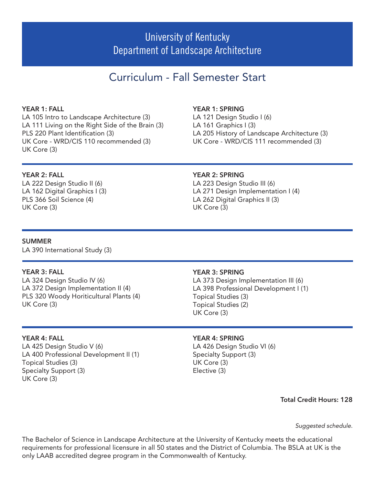# University of Kentucky Department of Landscape Architecture

# Curriculum - Fall Semester Start

# YEAR 1: FALL

LA 105 Intro to Landscape Architecture (3) LA 111 Living on the Right Side of the Brain (3) PLS 220 Plant Identification (3) UK Core - WRD/CIS 110 recommended (3) UK Core (3)

### YEAR 1: SPRING

LA 121 Design Studio I (6) LA 161 Graphics I (3) LA 205 History of Landscape Architecture (3) UK Core - WRD/CIS 111 recommended (3)

## YEAR 2: FALL

LA 222 Design Studio II (6) LA 162 Digital Graphics I (3) PLS 366 Soil Science (4) UK Core (3)

### YEAR 2: SPRING

LA 223 Design Studio III (6) LA 271 Design Implementation I (4) LA 262 Digital Graphics II (3) UK Core (3)

### SUMMER

LA 390 International Study (3)

### YEAR 3: FALL

LA 324 Design Studio IV (6) LA 372 Design Implementation II (4) PLS 320 Woody Horiticultural Plants (4) UK Core (3)

## YEAR 4: FALL

LA 425 Design Studio V (6) LA 400 Professional Development II (1) Topical Studies (3) Specialty Support (3) UK Core (3)

### YEAR 3: SPRING

LA 373 Design Implementation III (6) LA 398 Professional Development I (1) Topical Studies (3) Topical Studies (2) UK Core (3)

#### YEAR 4: SPRING

LA 426 Design Studio VI (6) Specialty Support (3) UK Core (3) Elective (3)

Total Credit Hours: 128

*Suggested schedule.*

The Bachelor of Science in Landscape Architecture at the University of Kentucky meets the educational requirements for professional licensure in all 50 states and the District of Columbia. The BSLA at UK is the only LAAB accredited degree program in the Commonwealth of Kentucky.